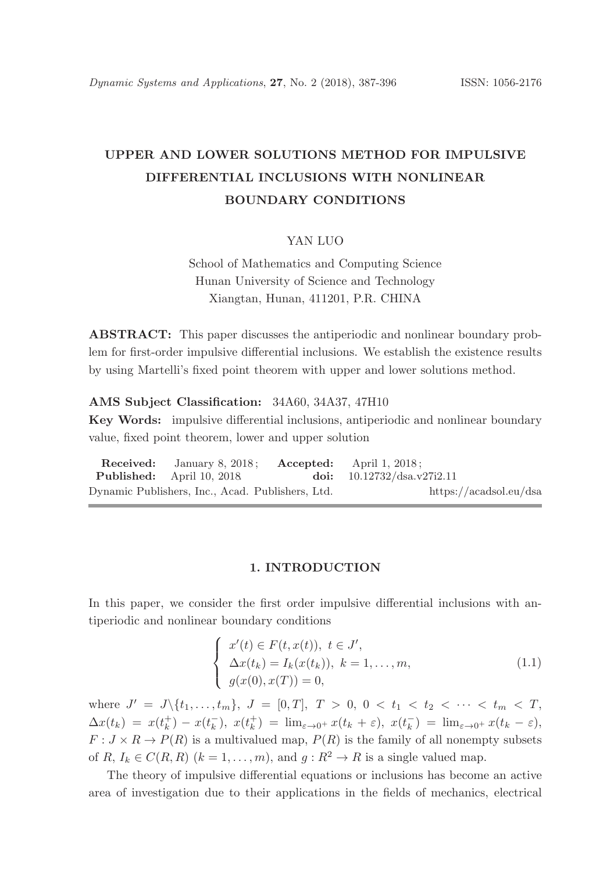# UPPER AND LOWER SOLUTIONS METHOD FOR IMPULSIVE DIFFERENTIAL INCLUSIONS WITH NONLINEAR BOUNDARY CONDITIONS

## YAN LUO

School of Mathematics and Computing Science Hunan University of Science and Technology Xiangtan, Hunan, 411201, P.R. CHINA

ABSTRACT: This paper discusses the antiperiodic and nonlinear boundary problem for first-order impulsive differential inclusions. We establish the existence results by using Martelli's fixed point theorem with upper and lower solutions method.

#### AMS Subject Classification: 34A60, 34A37, 47H10

Key Words: impulsive differential inclusions, antiperiodic and nonlinear boundary value, fixed point theorem, lower and upper solution

Received: January 8, 2018; Accepted: April 1, 2018; Published: April 10, 2018. doi: 10.12732/dsa.v27i2.11 Dynamic Publishers, Inc., Acad. Publishers, Ltd. https://acadsol.eu/dsa

# 1. INTRODUCTION

In this paper, we consider the first order impulsive differential inclusions with antiperiodic and nonlinear boundary conditions

$$
\begin{cases}\nx'(t) \in F(t, x(t)), \ t \in J', \\
\Delta x(t_k) = I_k(x(t_k)), \ k = 1, \dots, m, \\
g(x(0), x(T)) = 0,\n\end{cases}
$$
\n(1.1)

where  $J' = J \setminus \{t_1, \ldots, t_m\}, J = [0, T], T > 0, 0 < t_1 < t_2 < \cdots < t_m < T$ ,  $\Delta x(t_k) = x(t_k^+) - x(t_k^-)$  $(\bar{k}_k), \; x(t_k^+) = \lim_{\varepsilon \to 0^+} x(t_k + \varepsilon), \; x(t_k^-)$  $\bar{k}_{k}$ ) =  $\lim_{\varepsilon \to 0^{+}} x(t_{k} - \varepsilon),$  $F: J \times R \to P(R)$  is a multivalued map,  $P(R)$  is the family of all nonempty subsets of R,  $I_k \in C(R, R)$   $(k = 1, ..., m)$ , and  $g: R^2 \to R$  is a single valued map.

The theory of impulsive differential equations or inclusions has become an active area of investigation due to their applications in the fields of mechanics, electrical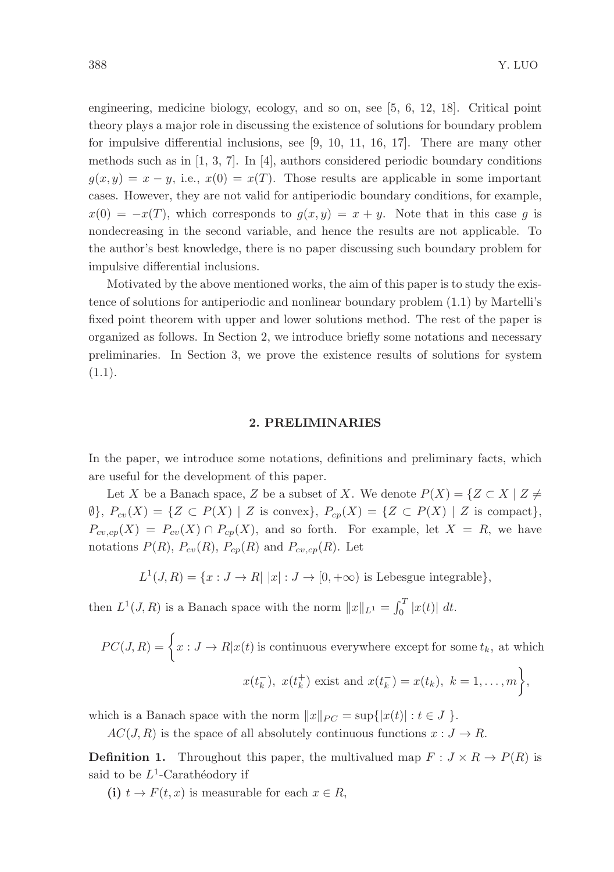engineering, medicine biology, ecology, and so on, see [5, 6, 12, 18]. Critical point theory plays a major role in discussing the existence of solutions for boundary problem for impulsive differential inclusions, see [9, 10, 11, 16, 17]. There are many other methods such as in [1, 3, 7]. In [4], authors considered periodic boundary conditions  $g(x, y) = x - y$ , i.e.,  $x(0) = x(T)$ . Those results are applicable in some important cases. However, they are not valid for antiperiodic boundary conditions, for example,  $x(0) = -x(T)$ , which corresponds to  $g(x, y) = x + y$ . Note that in this case g is nondecreasing in the second variable, and hence the results are not applicable. To the author's best knowledge, there is no paper discussing such boundary problem for impulsive differential inclusions.

Motivated by the above mentioned works, the aim of this paper is to study the existence of solutions for antiperiodic and nonlinear boundary problem (1.1) by Martelli's fixed point theorem with upper and lower solutions method. The rest of the paper is organized as follows. In Section 2, we introduce briefly some notations and necessary preliminaries. In Section 3, we prove the existence results of solutions for system  $(1.1).$ 

## 2. PRELIMINARIES

In the paper, we introduce some notations, definitions and preliminary facts, which are useful for the development of this paper.

Let X be a Banach space, Z be a subset of X. We denote  $P(X) = \{Z \subset X \mid Z \neq \emptyset\}$  $\emptyset$ ,  $P_{cv}(X) = \{Z \subset P(X) \mid Z \text{ is convex}\}, P_{cv}(X) = \{Z \subset P(X) \mid Z \text{ is compact}\},\$  $P_{cv,cp}(X) = P_{cv}(X) \cap P_{cp}(X)$ , and so forth. For example, let  $X = R$ , we have notations  $P(R)$ ,  $P_{cv}(R)$ ,  $P_{cp}(R)$  and  $P_{cv,cp}(R)$ . Let

$$
L^{1}(J,R) = \{x: J \to R | |x|: J \to [0, +\infty) \text{ is Lebesgue integrable}\},\
$$

then  $L^1(J, R)$  is a Banach space with the norm  $||x||_{L^1} = \int_0^T |x(t)| dt$ .

$$
PC(J, R) = \left\{ x : J \to R | x(t) \text{ is continuous everywhere except for some } t_k, \text{ at which } x(t_k^-), x(t_k^+) \text{ exist and } x(t_k^-) = x(t_k), k = 1, ..., m \right\},\
$$

which is a Banach space with the norm  $||x||_{PC} = \sup\{|x(t)| : t \in J\}$ .

 $AC(J, R)$  is the space of all absolutely continuous functions  $x : J \to R$ .

**Definition 1.** Throughout this paper, the multivalued map  $F: J \times R \to P(R)$  is said to be  $L^1$ -Carathéodory if

(i)  $t \to F(t, x)$  is measurable for each  $x \in R$ ,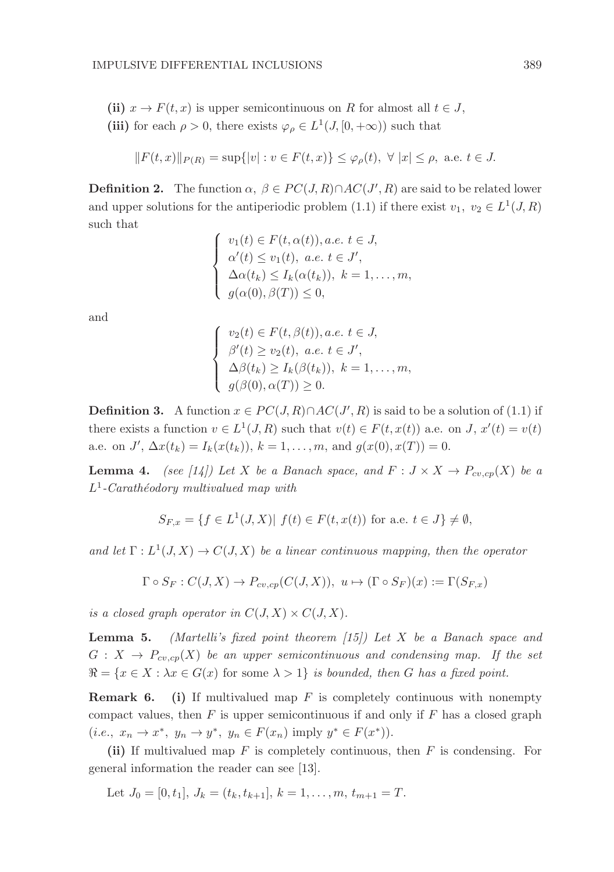- (ii)  $x \to F(t, x)$  is upper semicontinuous on R for almost all  $t \in J$ ,
- (iii) for each  $\rho > 0$ , there exists  $\varphi_{\rho} \in L^1(J, [0, +\infty))$  such that

$$
||F(t,x)||_{P(R)} = \sup{ |v| : v \in F(t,x) \} \leq \varphi_{\rho}(t), \ \forall \ |x| \leq \rho, \ \text{a.e. } t \in J.
$$

**Definition 2.** The function  $\alpha$ ,  $\beta \in PC(J, R) \cap AC(J', R)$  are said to be related lower and upper solutions for the antiperiodic problem (1.1) if there exist  $v_1, v_2 \in L^1(J, R)$ such that

$$
\begin{cases}\nv_1(t) \in F(t, \alpha(t)), a.e. \ t \in J, \\
\alpha'(t) \le v_1(t), \ a.e. \ t \in J', \\
\Delta \alpha(t_k) \le I_k(\alpha(t_k)), \ k = 1, \dots, m, \\
g(\alpha(0), \beta(T)) \le 0,\n\end{cases}
$$

and

$$
\begin{cases}\nv_2(t) \in F(t, \beta(t)), a.e. \ t \in J, \\
\beta'(t) \ge v_2(t), \ a.e. \ t \in J', \\
\Delta\beta(t_k) \ge I_k(\beta(t_k)), \ k = 1, \ldots, m, \\
g(\beta(0), \alpha(T)) \ge 0.\n\end{cases}
$$

**Definition 3.** A function  $x \in PC(J, R) \cap AC(J', R)$  is said to be a solution of (1.1) if there exists a function  $v \in L^1(J, R)$  such that  $v(t) \in F(t, x(t))$  a.e. on J,  $x'(t) = v(t)$ a.e. on  $J'$ ,  $\Delta x(t_k) = I_k(x(t_k))$ ,  $k = 1, ..., m$ , and  $g(x(0), x(T)) = 0$ .

**Lemma 4.** (see [14]) Let X be a Banach space, and  $F : J \times X \to P_{cv,cp}(X)$  be a  $L^1$ -Carathéodory multivalued map with

$$
S_{F,x} = \{ f \in L^1(J,X) | f(t) \in F(t,x(t)) \text{ for a.e. } t \in J \} \neq \emptyset,
$$

and let  $\Gamma: L^1(J, X) \to C(J, X)$  be a linear continuous mapping, then the operator

$$
\Gamma \circ S_F : C(J, X) \to P_{cv, cp}(C(J, X)), \ u \mapsto (\Gamma \circ S_F)(x) := \Gamma(S_{F, x})
$$

is a closed graph operator in  $C(J, X) \times C(J, X)$ .

**Lemma 5.** (Martelli's fixed point theorem  $(15)$ ) Let X be a Banach space and  $G: X \to P_{cv,cp}(X)$  be an upper semicontinuous and condensing map. If the set  $\Re = \{x \in X : \lambda x \in G(x) \text{ for some } \lambda > 1\}$  is bounded, then G has a fixed point.

**Remark 6.** (i) If multivalued map  $F$  is completely continuous with nonempty compact values, then  $F$  is upper semicontinuous if and only if  $F$  has a closed graph  $(i.e., x_n \to x^*, y_n \to y^*, y_n \in F(x_n) \text{ imply } y^* \in F(x^*)\text{).}$ 

(ii) If multivalued map  $F$  is completely continuous, then  $F$  is condensing. For general information the reader can see [13].

Let 
$$
J_0 = [0, t_1], J_k = (t_k, t_{k+1}], k = 1, ..., m, t_{m+1} = T.
$$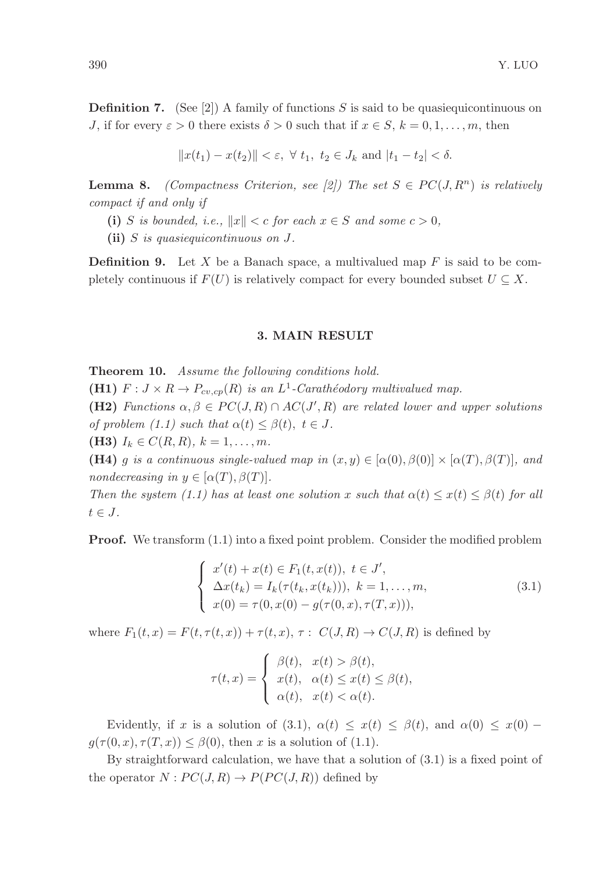**Definition 7.** (See [2]) A family of functions S is said to be quasiequicontinuous on J, if for every  $\varepsilon > 0$  there exists  $\delta > 0$  such that if  $x \in S, k = 0, 1, \ldots, m$ , then

$$
||x(t_1) - x(t_2)|| < \varepsilon, \ \forall \ t_1, \ t_2 \in J_k \ \text{and} \ |t_1 - t_2| < \delta.
$$

**Lemma 8.** (Compactness Criterion, see [2]) The set  $S \in PC(J, R^n)$  is relatively compact if and only if

(i) S is bounded, i.e.,  $||x|| < c$  for each  $x \in S$  and some  $c > 0$ ,

(ii) S is quasiequicontinuous on J.

**Definition 9.** Let X be a Banach space, a multivalued map  $F$  is said to be completely continuous if  $F(U)$  is relatively compact for every bounded subset  $U \subseteq X$ .

## 3. MAIN RESULT

Theorem 10. Assume the following conditions hold.

**(H1)**  $F: J \times R \to P_{cv, cp}(R)$  is an  $L^1$ -Carathéodory multivalued map.

(H2) Functions  $\alpha, \beta \in PC(J, R) \cap AC(J', R)$  are related lower and upper solutions of problem (1.1) such that  $\alpha(t) \leq \beta(t)$ ,  $t \in J$ .

(**H3**)  $I_k \in C(R, R)$ ,  $k = 1, ..., m$ .

(H4) g is a continuous single-valued map in  $(x, y) \in [\alpha(0), \beta(0)] \times [\alpha(T), \beta(T)]$ , and nondecreasing in  $y \in [\alpha(T), \beta(T)].$ 

Then the system (1.1) has at least one solution x such that  $\alpha(t) \leq x(t) \leq \beta(t)$  for all  $t \in J$ .

Proof. We transform (1.1) into a fixed point problem. Consider the modified problem

$$
\begin{cases}\nx'(t) + x(t) \in F_1(t, x(t)), \ t \in J', \\
\Delta x(t_k) = I_k(\tau(t_k, x(t_k))), \ k = 1, \dots, m, \\
x(0) = \tau(0, x(0) - g(\tau(0, x), \tau(T, x))),\n\end{cases}
$$
\n(3.1)

where  $F_1(t, x) = F(t, \tau(t, x)) + \tau(t, x), \tau : C(J, R) \rightarrow C(J, R)$  is defined by

$$
\tau(t,x) = \begin{cases} \beta(t), & x(t) > \beta(t), \\ x(t), & \alpha(t) \le x(t) \le \beta(t), \\ \alpha(t), & x(t) < \alpha(t). \end{cases}
$$

Evidently, if x is a solution of (3.1),  $\alpha(t) \leq x(t) \leq \beta(t)$ , and  $\alpha(0) \leq x(0)$  –  $g(\tau(0, x), \tau(T, x)) \leq \beta(0)$ , then x is a solution of (1.1).

By straightforward calculation, we have that a solution of (3.1) is a fixed point of the operator  $N: PC(J, R) \to P(PC(J, R))$  defined by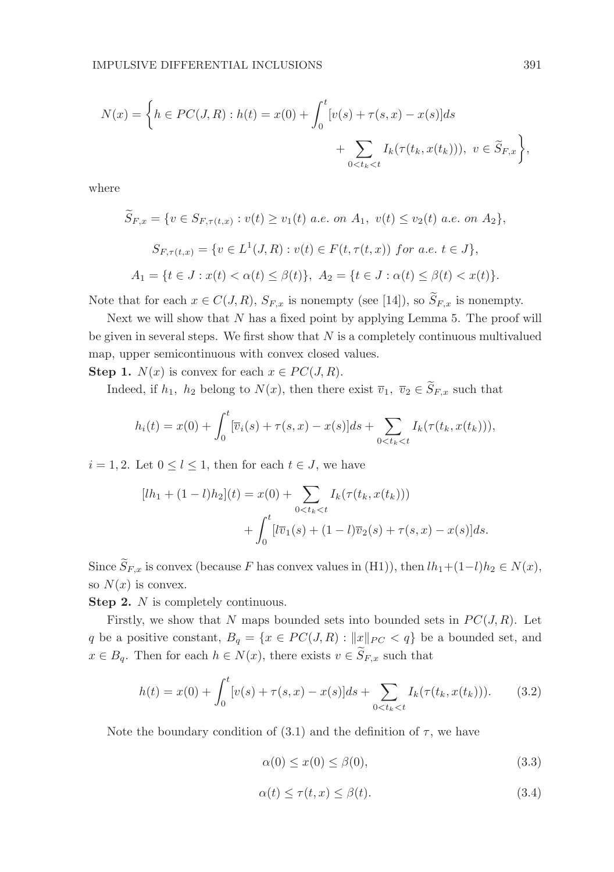$$
N(x) = \left\{ h \in PC(J, R) : h(t) = x(0) + \int_0^t [v(s) + \tau(s, x) - x(s)] ds + \sum_{0 < t_k < t} I_k(\tau(t_k, x(t_k))), \ v \in \widetilde{S}_{F, x} \right\},
$$

where

$$
\widetilde{S}_{F,x} = \{ v \in S_{F,\tau(t,x)} : v(t) \ge v_1(t) \text{ a.e. on } A_1, v(t) \le v_2(t) \text{ a.e. on } A_2 \},
$$
\n
$$
S_{F,\tau(t,x)} = \{ v \in L^1(J,R) : v(t) \in F(t,\tau(t,x)) \text{ for a.e. } t \in J \},
$$
\n
$$
A_1 = \{ t \in J : x(t) < \alpha(t) \le \beta(t) \}, \quad A_2 = \{ t \in J : \alpha(t) \le \beta(t) < x(t) \}.
$$

Note that for each  $x \in C(J, R)$ ,  $S_{F,x}$  is nonempty (see [14]), so  $\widetilde{S}_{F,x}$  is nonempty.

Next we will show that  $N$  has a fixed point by applying Lemma 5. The proof will be given in several steps. We first show that  $N$  is a completely continuous multivalued map, upper semicontinuous with convex closed values.

**Step 1.**  $N(x)$  is convex for each  $x \in PC(J, R)$ .

Indeed, if  $h_1$ ,  $h_2$  belong to  $N(x)$ , then there exist  $\overline{v}_1$ ,  $\overline{v}_2 \in \widetilde{S}_{F,x}$  such that

$$
h_i(t) = x(0) + \int_0^t [\overline{v}_i(s) + \tau(s, x) - x(s)]ds + \sum_{0 < t_k < t} I_k(\tau(t_k, x(t_k))),
$$

 $i = 1, 2$ . Let  $0 \leq l \leq 1$ , then for each  $t \in J$ , we have

$$
[lh_1 + (1-l)h_2](t) = x(0) + \sum_{0 < t_k < t} I_k(\tau(t_k, x(t_k)))
$$

$$
+ \int_0^t [\bar{v}_1(s) + (1-l)\bar{v}_2(s) + \tau(s, x) - x(s)]ds.
$$

Since  $\widetilde{S}_{F,x}$  is convex (because F has convex values in (H1)), then  $lh_1+(1-l)h_2\in N(x)$ , so  $N(x)$  is convex.

Step 2. N is completely continuous.

Firstly, we show that N maps bounded sets into bounded sets in  $PC(J, R)$ . Let q be a positive constant,  $B_q = \{x \in PC(J, R) : ||x||_{PC} < q\}$  be a bounded set, and  $x \in B_q$ . Then for each  $h \in N(x)$ , there exists  $v \in \widetilde{S}_{F,x}$  such that

$$
h(t) = x(0) + \int_0^t \left[v(s) + \tau(s, x) - x(s)\right] ds + \sum_{0 < t_k < t} I_k(\tau(t_k, x(t_k))).\tag{3.2}
$$

Note the boundary condition of (3.1) and the definition of  $\tau$ , we have

$$
\alpha(0) \le x(0) \le \beta(0),\tag{3.3}
$$

$$
\alpha(t) \le \tau(t, x) \le \beta(t). \tag{3.4}
$$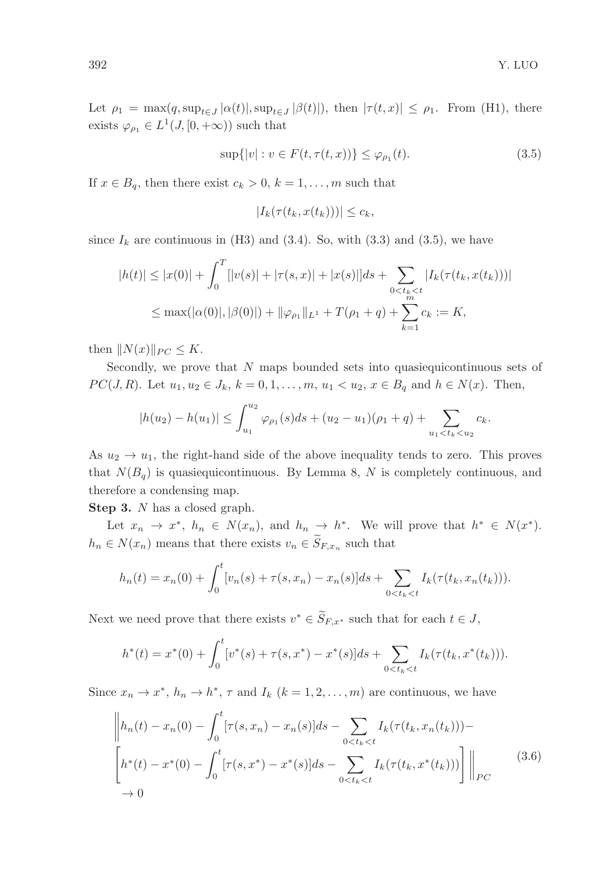Let  $\rho_1 = \max(q, \sup_{t \in J} |\alpha(t)|, \sup_{t \in J} |\beta(t)|)$ , then  $|\tau(t, x)| \le \rho_1$ . From (H1), there exists  $\varphi_{\rho_1} \in L^1(J, [0, +\infty))$  such that

$$
\sup\{|v| : v \in F(t, \tau(t, x))\} \le \varphi_{\rho_1}(t). \tag{3.5}
$$

If  $x \in B_q$ , then there exist  $c_k > 0$ ,  $k = 1, \ldots, m$  such that

$$
|I_k(\tau(t_k, x(t_k)))| \leq c_k,
$$

since  $I_k$  are continuous in (H3) and (3.4). So, with (3.3) and (3.5), we have

$$
|h(t)| \le |x(0)| + \int_0^T [|v(s)| + |\tau(s,x)| + |x(s)|] ds + \sum_{0 < t_k < t} |I_k(\tau(t_k, x(t_k)))|
$$
  

$$
\le \max(|\alpha(0)|, |\beta(0)|) + \|\varphi_{\rho_1}\|_{L^1} + T(\rho_1 + q) + \sum_{k=1}^m c_k := K,
$$

then  $||N(x)||_{PC} \leq K$ .

Secondly, we prove that  $N$  maps bounded sets into quasiequicontinuous sets of *PC*(*J*, *R*). Let  $u_1, u_2 \in J_k$ ,  $k = 0, 1, ..., m$ ,  $u_1 < u_2$ ,  $x \in B_q$  and  $h \in N(x)$ . Then,

$$
|h(u_2) - h(u_1)| \leq \int_{u_1}^{u_2} \varphi_{\rho_1}(s) ds + (u_2 - u_1)(\rho_1 + q) + \sum_{u_1 < t_k < u_2} c_k.
$$

As  $u_2 \to u_1$ , the right-hand side of the above inequality tends to zero. This proves that  $N(B_q)$  is quasiequicontinuous. By Lemma 8, N is completely continuous, and therefore a condensing map.

Step 3. N has a closed graph.

Let  $x_n \to x^*$ ,  $h_n \in N(x_n)$ , and  $h_n \to h^*$ . We will prove that  $h^* \in N(x^*)$ .  $h_n \in N(x_n)$  means that there exists  $v_n \in S_{F,x_n}$  such that

$$
h_n(t) = x_n(0) + \int_0^t [v_n(s) + \tau(s, x_n) - x_n(s)]ds + \sum_{0 < t_k < t} I_k(\tau(t_k, x_n(t_k))).
$$

Next we need prove that there exists  $v^* \in \widetilde{S}_{F,x^*}$  such that for each  $t \in J$ ,

$$
h^*(t) = x^*(0) + \int_0^t \left[v^*(s) + \tau(s, x^*) - x^*(s)\right]ds + \sum_{0 < t_k < t} I_k(\tau(t_k, x^*(t_k))).
$$

Since  $x_n \to x^*$ ,  $h_n \to h^*$ ,  $\tau$  and  $I_k$   $(k = 1, 2, ..., m)$  are continuous, we have

$$
\left\| h_n(t) - x_n(0) - \int_0^t [\tau(s, x_n) - x_n(s)] ds - \sum_{0 < t_k < t} I_k(\tau(t_k, x_n(t_k))) - \left[ h^*(t) - x^*(0) - \int_0^t [\tau(s, x^*) - x^*(s)] ds - \sum_{0 < t_k < t} I_k(\tau(t_k, x^*(t_k))) \right] \right\|_{PC} \tag{3.6}
$$
\n
$$
\to 0
$$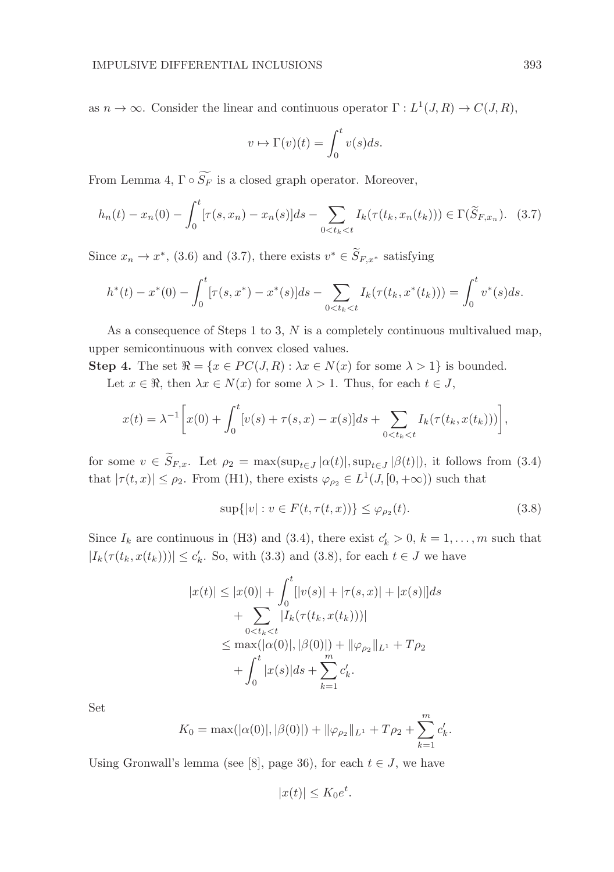as  $n \to \infty$ . Consider the linear and continuous operator  $\Gamma : L^1(J, R) \to C(J, R)$ ,

$$
v \mapsto \Gamma(v)(t) = \int_0^t v(s)ds.
$$

From Lemma 4,  $\Gamma \circ \widetilde{S_F}$  is a closed graph operator. Moreover,

$$
h_n(t) - x_n(0) - \int_0^t [\tau(s, x_n) - x_n(s)] ds - \sum_{0 < t_k < t} I_k(\tau(t_k, x_n(t_k))) \in \Gamma(\widetilde{S}_{F, x_n}). \tag{3.7}
$$

Since  $x_n \to x^*$ , (3.6) and (3.7), there exists  $v^* \in \widetilde{S}_{F,x^*}$  satisfying

$$
h^*(t) - x^*(0) - \int_0^t [\tau(s, x^*) - x^*(s)] ds - \sum_{0 < t_k < t} I_k(\tau(t_k, x^*(t_k))) = \int_0^t v^*(s) ds.
$$

As a consequence of Steps 1 to 3,  $N$  is a completely continuous multivalued map, upper semicontinuous with convex closed values.

Step 4. The set  $\Re = \{x \in PC(J, R) : \lambda x \in N(x) \text{ for some } \lambda > 1\}$  is bounded. Let  $x \in \Re$ , then  $\lambda x \in N(x)$  for some  $\lambda > 1$ . Thus, for each  $t \in J$ ,

$$
x(t) = \lambda^{-1} \left[ x(0) + \int_0^t [v(s) + \tau(s, x) - x(s)] ds + \sum_{0 < t_k < t} I_k(\tau(t_k, x(t_k))) \right],
$$

for some  $v \in S_{F,x}$ . Let  $\rho_2 = \max(\sup_{t \in J} |\alpha(t)|, \sup_{t \in J} |\beta(t)|)$ , it follows from (3.4) that  $|\tau(t,x)| \leq \rho_2$ . From (H1), there exists  $\varphi_{\rho_2} \in L^1(J, [0, +\infty))$  such that

$$
\sup\{|v| : v \in F(t, \tau(t, x))\} \le \varphi_{\rho_2}(t). \tag{3.8}
$$

.

Since  $I_k$  are continuous in (H3) and (3.4), there exist  $c'_k > 0$ ,  $k = 1, ..., m$  such that  $|I_k(\tau(t_k, x(t_k)))| \leq c'_k$ . So, with (3.3) and (3.8), for each  $t \in J$  we have

$$
|x(t)| \le |x(0)| + \int_0^t [|v(s)| + |\tau(s, x)| + |x(s)|] ds
$$
  
+ 
$$
\sum_{0 < t_k < t} |I_k(\tau(t_k, x(t_k)))|
$$
  

$$
\le \max(|\alpha(0)|, |\beta(0)|) + ||\varphi_{\rho_2}||_{L^1} + T\rho_2
$$
  
+ 
$$
\int_0^t |x(s)| ds + \sum_{k=1}^m c'_k.
$$

Set

$$
K_0 = \max(|\alpha(0)|, |\beta(0)|) + ||\varphi_{\rho_2}||_{L^1} + T\rho_2 + \sum_{k=1}^m c'_k
$$

Using Gronwall's lemma (see [8], page 36), for each  $t \in J$ , we have

$$
|x(t)| \le K_0 e^t.
$$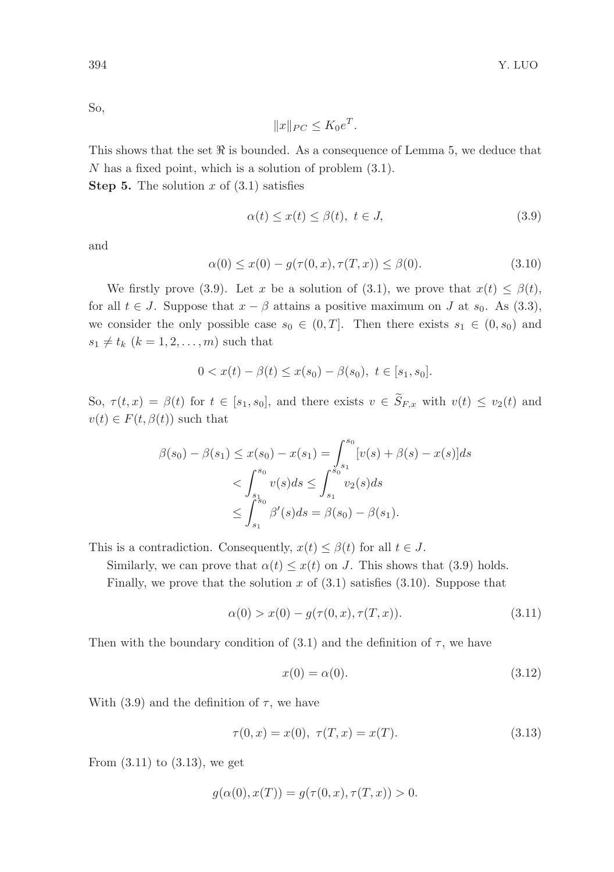So,

$$
||x||_{PC} \leq K_0 e^T.
$$

This shows that the set  $\Re$  is bounded. As a consequence of Lemma 5, we deduce that N has a fixed point, which is a solution of problem (3.1).

**Step 5.** The solution x of  $(3.1)$  satisfies

$$
\alpha(t) \le x(t) \le \beta(t), \ t \in J,\tag{3.9}
$$

and

$$
\alpha(0) \le x(0) - g(\tau(0, x), \tau(T, x)) \le \beta(0). \tag{3.10}
$$

We firstly prove (3.9). Let x be a solution of (3.1), we prove that  $x(t) \leq \beta(t)$ , for all  $t \in J$ . Suppose that  $x - \beta$  attains a positive maximum on J at  $s_0$ . As (3.3), we consider the only possible case  $s_0 \in (0,T]$ . Then there exists  $s_1 \in (0,s_0)$  and  $s_1 \neq t_k$   $(k = 1, 2, \ldots, m)$  such that

$$
0 < x(t) - \beta(t) \leq x(s_0) - \beta(s_0), \ t \in [s_1, s_0].
$$

So,  $\tau(t,x) = \beta(t)$  for  $t \in [s_1, s_0]$ , and there exists  $v \in \widetilde{S}_{F,x}$  with  $v(t) \le v_2(t)$  and  $v(t) \in F(t, \beta(t))$  such that

$$
\beta(s_0) - \beta(s_1) \le x(s_0) - x(s_1) = \int_{s_1}^{s_0} [v(s) + \beta(s) - x(s)]ds
$$
  

$$
< \int_{s_1}^{s_0} v(s)ds \le \int_{s_1}^{s_0} v_2(s)ds
$$
  

$$
\le \int_{s_1}^{s_0} \beta'(s)ds = \beta(s_0) - \beta(s_1).
$$

This is a contradiction. Consequently,  $x(t) \leq \beta(t)$  for all  $t \in J$ .

Similarly, we can prove that  $\alpha(t) \leq x(t)$  on J. This shows that (3.9) holds.

Finally, we prove that the solution x of  $(3.1)$  satisfies  $(3.10)$ . Suppose that

$$
\alpha(0) > x(0) - g(\tau(0, x), \tau(T, x)). \tag{3.11}
$$

Then with the boundary condition of (3.1) and the definition of  $\tau$ , we have

$$
x(0) = \alpha(0). \tag{3.12}
$$

With (3.9) and the definition of  $\tau$ , we have

$$
\tau(0, x) = x(0), \ \tau(T, x) = x(T). \tag{3.13}
$$

From  $(3.11)$  to  $(3.13)$ , we get

$$
g(\alpha(0), x(T)) = g(\tau(0, x), \tau(T, x)) > 0.
$$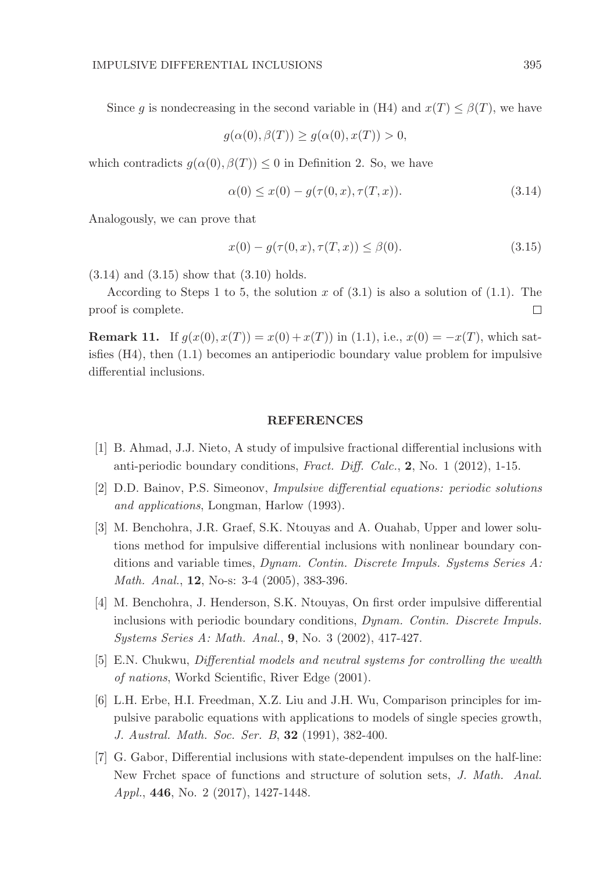Since g is nondecreasing in the second variable in (H4) and  $x(T) \leq \beta(T)$ , we have

$$
g(\alpha(0), \beta(T)) \ge g(\alpha(0), x(T)) > 0,
$$

which contradicts  $q(\alpha(0), \beta(T)) \leq 0$  in Definition 2. So, we have

$$
\alpha(0) \le x(0) - g(\tau(0, x), \tau(T, x)). \tag{3.14}
$$

Analogously, we can prove that

$$
x(0) - g(\tau(0, x), \tau(T, x)) \le \beta(0). \tag{3.15}
$$

 $(3.14)$  and  $(3.15)$  show that  $(3.10)$  holds.

According to Steps 1 to 5, the solution x of  $(3.1)$  is also a solution of  $(1.1)$ . The proof is complete.  $\Box$ 

**Remark 11.** If  $g(x(0), x(T)) = x(0) + x(T)$  in (1.1), i.e.,  $x(0) = -x(T)$ , which satisfies (H4), then (1.1) becomes an antiperiodic boundary value problem for impulsive differential inclusions.

### REFERENCES

- [1] B. Ahmad, J.J. Nieto, A study of impulsive fractional differential inclusions with anti-periodic boundary conditions, Fract. Diff. Calc., 2, No. 1 (2012), 1-15.
- [2] D.D. Bainov, P.S. Simeonov, Impulsive differential equations: periodic solutions and applications, Longman, Harlow (1993).
- [3] M. Benchohra, J.R. Graef, S.K. Ntouyas and A. Ouahab, Upper and lower solutions method for impulsive differential inclusions with nonlinear boundary conditions and variable times, Dynam. Contin. Discrete Impuls. Systems Series  $A$ : Math. Anal., **12**, No-s: 3-4 (2005), 383-396.
- [4] M. Benchohra, J. Henderson, S.K. Ntouyas, On first order impulsive differential inclusions with periodic boundary conditions, Dynam. Contin. Discrete Impuls. Systems Series A: Math. Anal., 9, No. 3 (2002), 417-427.
- [5] E.N. Chukwu, Differential models and neutral systems for controlling the wealth of nations, Workd Scientific, River Edge (2001).
- [6] L.H. Erbe, H.I. Freedman, X.Z. Liu and J.H. Wu, Comparison principles for impulsive parabolic equations with applications to models of single species growth, J. Austral. Math. Soc. Ser. B, 32 (1991), 382-400.
- [7] G. Gabor, Differential inclusions with state-dependent impulses on the half-line: New Frchet space of functions and structure of solution sets, J. Math. Anal. Appl., 446, No. 2 (2017), 1427-1448.